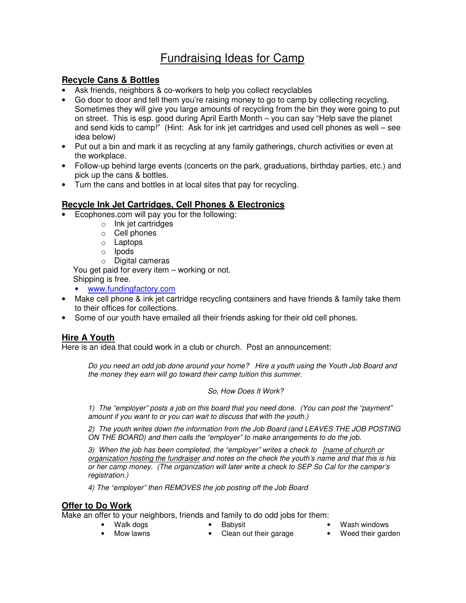# Fundraising Ideas for Camp

# **Recycle Cans & Bottles**

- Ask friends, neighbors & co-workers to help you collect recyclables
- Go door to door and tell them you're raising money to go to camp by collecting recycling. Sometimes they will give you large amounts of recycling from the bin they were going to put on street. This is esp. good during April Earth Month – you can say "Help save the planet and send kids to camp!" (Hint: Ask for ink jet cartridges and used cell phones as well – see idea below)
- Put out a bin and mark it as recycling at any family gatherings, church activities or even at the workplace.
- Follow-up behind large events (concerts on the park, graduations, birthday parties, etc.) and pick up the cans & bottles.
- Turn the cans and bottles in at local sites that pay for recycling.

# **Recycle Ink Jet Cartridges, Cell Phones & Electronics**

- Ecophones.com will pay you for the following:
	- o Ink jet cartridges
	- o Cell phones
	- o Laptops
	- o Ipods

o Digital cameras

You get paid for every item – working or not. Shipping is free.

- www.fundingfactory.com
- Make cell phone & ink jet cartridge recycling containers and have friends & family take them to their offices for collections.
- Some of our youth have emailed all their friends asking for their old cell phones.

# **Hire A Youth**

Here is an idea that could work in a club or church. Post an announcement:

Do you need an odd job done around your home? Hire a youth using the Youth Job Board and the money they earn will go toward their camp tuition this summer.

#### So, How Does It Work?

1) The "employer" posts a job on this board that you need done. (You can post the "payment" amount if you want to or you can wait to discuss that with the youth.)

2) The youth writes down the information from the Job Board (and LEAVES THE JOB POSTING ON THE BOARD) and then calls the "employer" to make arrangements to do the job.

3) When the job has been completed, the "employer" writes a check to [name of church or organization hosting the fundraiser and notes on the check the youth's name and that this is his or her camp money. (The organization will later write a check to SEP So Cal for the camper's registration.)

4) The "employer" then REMOVES the job posting off the Job Board

#### **Offer to Do Work**

Make an offer to your neighbors, friends and family to do odd jobs for them:

- Walk dogs Babysit Wash windows
- 
- Mow lawns Clean out their garage Weed their garden